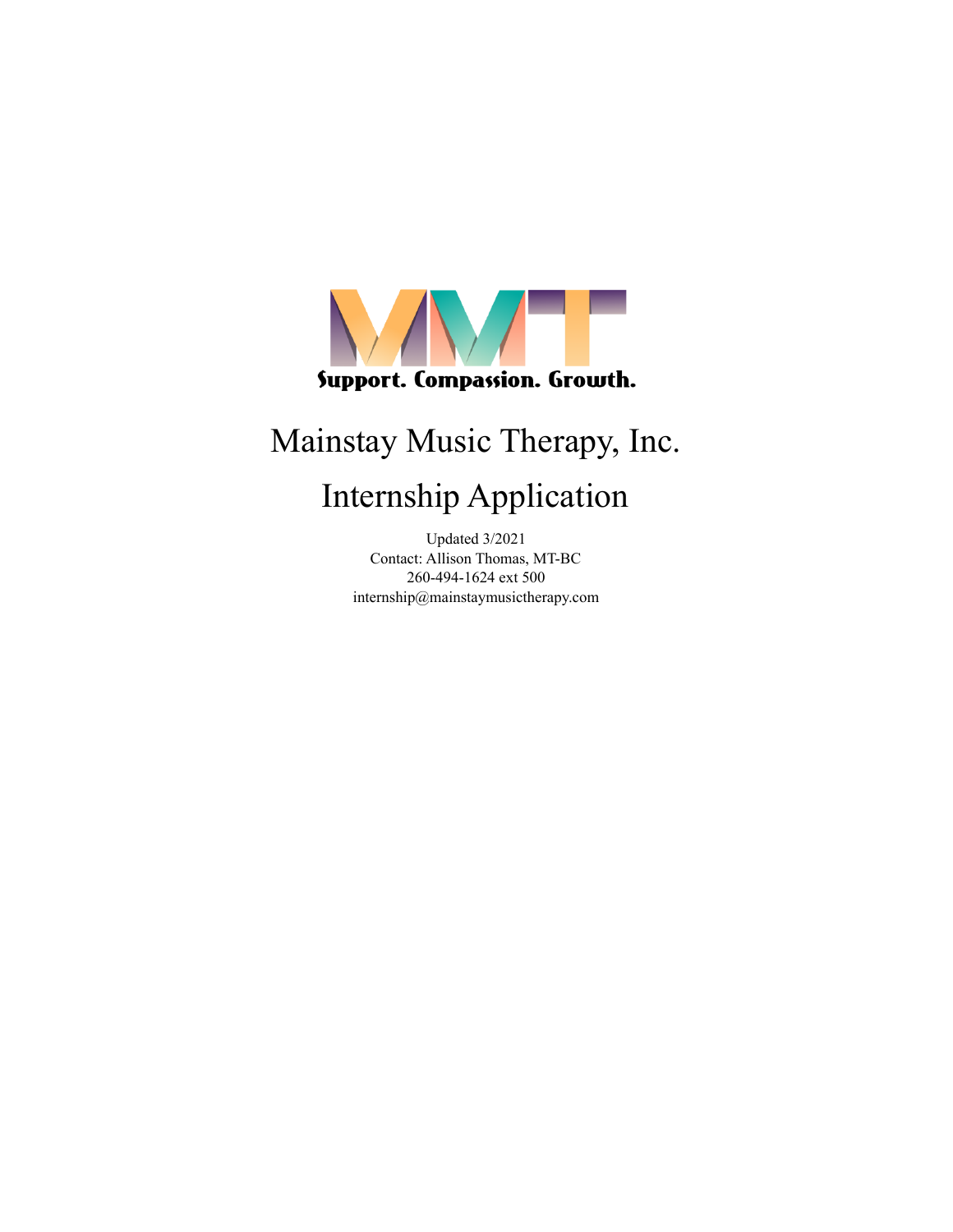

# Mainstay Music Therapy, Inc.

# Internship Application

Updated 3/2021 Contact: Allison Thomas, MT-BC 260-494-1624 ext 500 internship@mainstaymusictherapy.com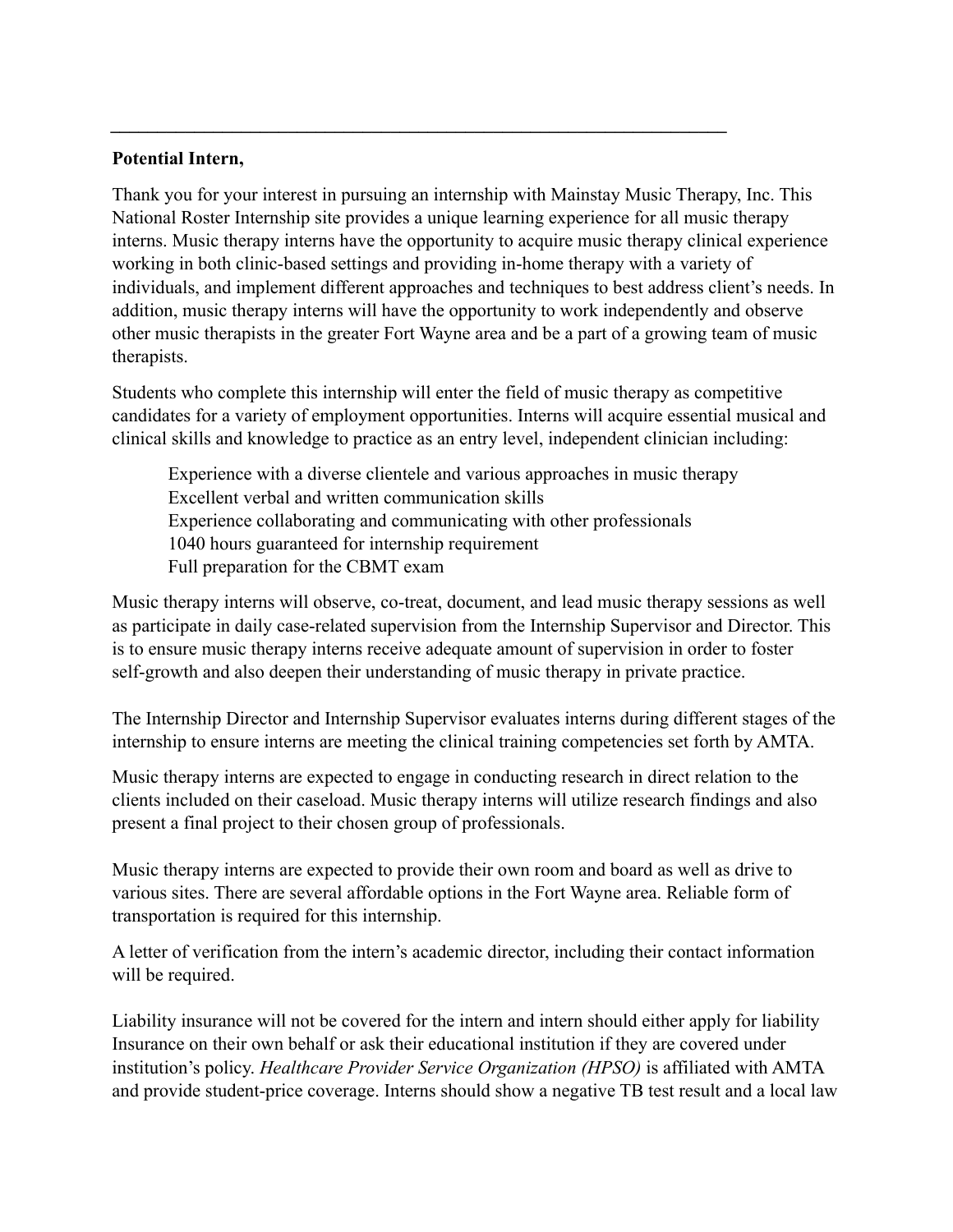### **Potential Intern,**

Thank you for your interest in pursuing an internship with Mainstay Music Therapy, Inc. This National Roster Internship site provides a unique learning experience for all music therapy interns. Music therapy interns have the opportunity to acquire music therapy clinical experience working in both clinic-based settings and providing in-home therapy with a variety of individuals, and implement different approaches and techniques to best address client's needs. In addition, music therapy interns will have the opportunity to work independently and observe other music therapists in the greater Fort Wayne area and be a part of a growing team of music therapists.

*\_\_\_\_\_\_\_\_\_\_\_\_\_\_\_\_\_\_\_\_\_\_\_\_\_\_\_\_\_\_\_\_\_\_\_\_\_\_\_\_\_\_\_\_\_\_\_\_\_\_\_\_\_\_\_\_\_\_\_\_\_\_\_\_\_\_*

Students who complete this internship will enter the field of music therapy as competitive candidates for a variety of employment opportunities. Interns will acquire essential musical and clinical skills and knowledge to practice as an entry level, independent clinician including:

Experience with a diverse clientele and various approaches in music therapy Excellent verbal and written communication skills Experience collaborating and communicating with other professionals 1040 hours guaranteed for internship requirement Full preparation for the CBMT exam

Music therapy interns will observe, co-treat, document, and lead music therapy sessions as well as participate in daily case-related supervision from the Internship Supervisor and Director. This is to ensure music therapy interns receive adequate amount of supervision in order to foster self-growth and also deepen their understanding of music therapy in private practice.

The Internship Director and Internship Supervisor evaluates interns during different stages of the internship to ensure interns are meeting the clinical training competencies set forth by AMTA.

Music therapy interns are expected to engage in conducting research in direct relation to the clients included on their caseload. Music therapy interns will utilize research findings and also present a final project to their chosen group of professionals.

Music therapy interns are expected to provide their own room and board as well as drive to various sites. There are several affordable options in the Fort Wayne area. Reliable form of transportation is required for this internship.

A letter of verification from the intern's academic director, including their contact information will be required.

Liability insurance will not be covered for the intern and intern should either apply for liability Insurance on their own behalf or ask their educational institution if they are covered under institution's policy. *Healthcare Provider Service Organization (HPSO)* is affiliated with AMTA and provide student-price coverage. Interns should show a negative TB test result and a local law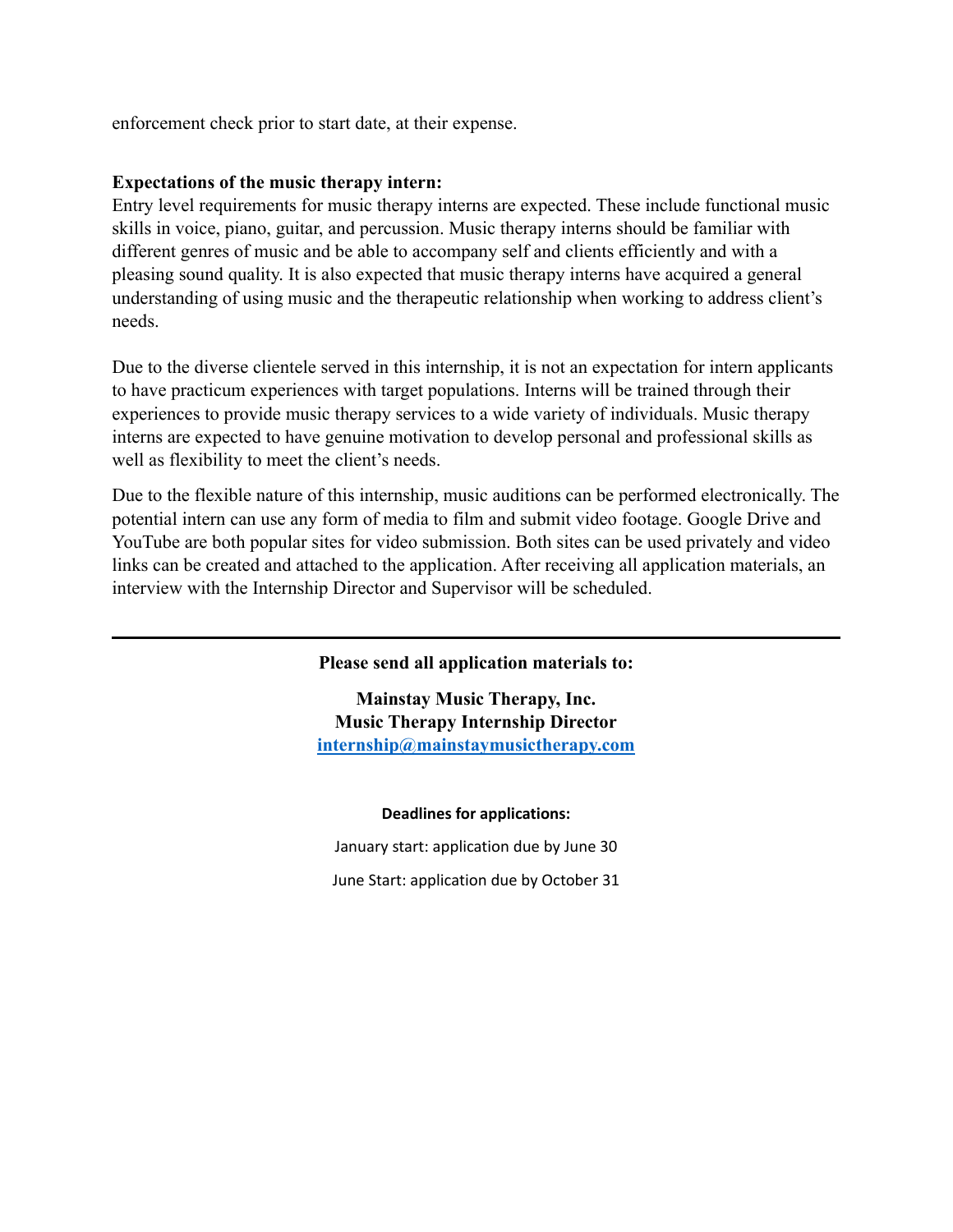enforcement check prior to start date, at their expense.

### **Expectations of the music therapy intern:**

Entry level requirements for music therapy interns are expected. These include functional music skills in voice, piano, guitar, and percussion. Music therapy interns should be familiar with different genres of music and be able to accompany self and clients efficiently and with a pleasing sound quality. It is also expected that music therapy interns have acquired a general understanding of using music and the therapeutic relationship when working to address client's needs.

Due to the diverse clientele served in this internship, it is not an expectation for intern applicants to have practicum experiences with target populations. Interns will be trained through their experiences to provide music therapy services to a wide variety of individuals. Music therapy interns are expected to have genuine motivation to develop personal and professional skills as well as flexibility to meet the client's needs.

Due to the flexible nature of this internship, music auditions can be performed electronically. The potential intern can use any form of media to film and submit video footage. Google Drive and YouTube are both popular sites for video submission. Both sites can be used privately and video links can be created and attached to the application. After receiving all application materials, an interview with the Internship Director and Supervisor will be scheduled.

#### **Please send all application materials to:**

**Mainstay Music Therapy, Inc. Music Therapy Internship Director [internship@mainstaymusictherapy.com](mailto:internship@mainstaymusictherapy.com)**

#### **Deadlines for applications:**

January start: application due by June 30 June Start: application due by October 31